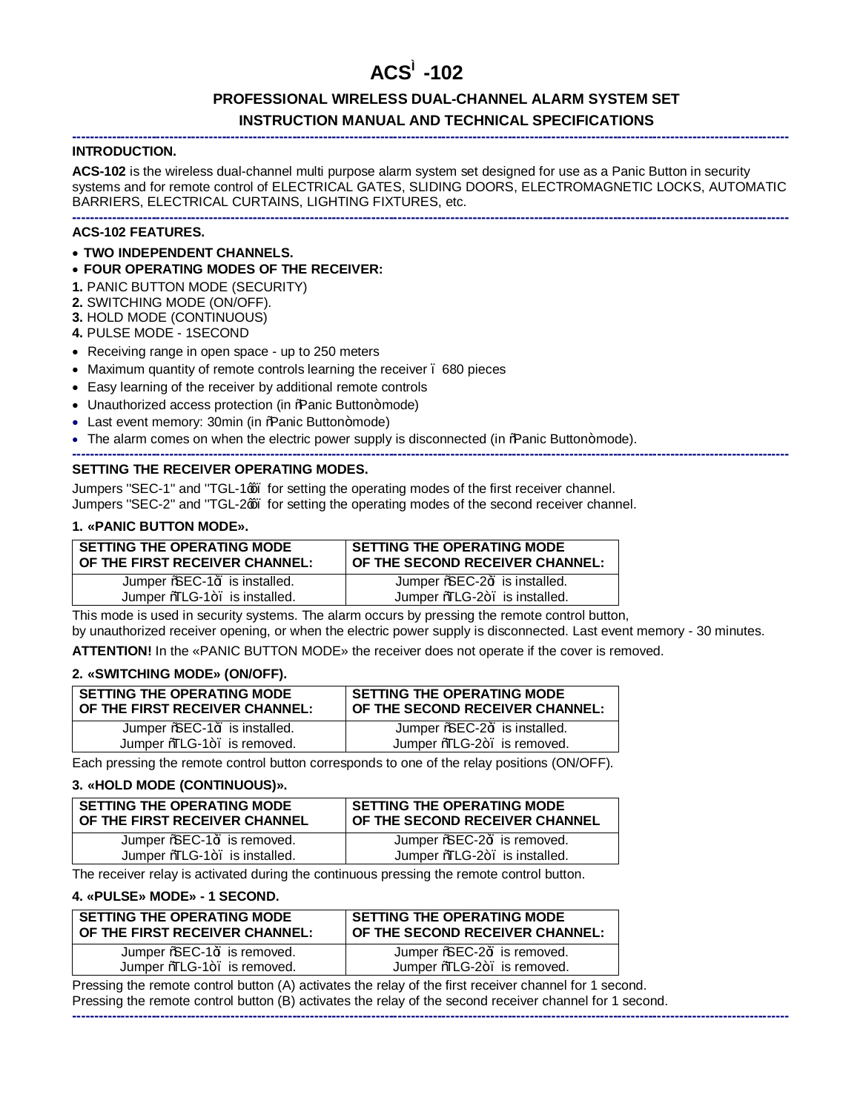# **ACS™-102**

# **PROFESSIONAL WIRELESS DUAL-CHANNEL ALARM SYSTEM SET INSTRUCTION MANUAL AND TECHNICAL SPECIFICATIONS**

### **INTRODUCTION.**

**ACS-102** is the wireless dual-channel multi purpose alarm system set designed for use as a Panic Button in security systems and for remote control of ELECTRICAL GATES, SLIDING DOORS, ELECTROMAGNETIC LOCKS, AUTOMATIC BARRIERS, ELECTRICAL CURTAINS, LIGHTING FIXTURES, etc.

**-------------------------------------------------------------------------------------------------------------------------------------------------------------------**

#### **------------------------------------------------------------------------------------------------------------------------------------------------------------------- ACS-102 FEATURES.**

- · **TWO INDEPENDENT CHANNELS.**
- · **FOUR OPERATING MODES OF THE RECEIVER:**
- **1.** PANIC BUTTON MODE (SECURITY)
- **2.** SWITCHING MODE (ON/OFF).
- **3.** HOLD MODE (CONTINUOUS)
- **4.** PULSE MODE 1SECOND
- · Receiving range in open space up to 250 meters
- · Maximum quantity of remote controls learning the receiver 680 pieces
- · Easy learning of the receiver by additional remote controls
- Unauthorized access protection (in %Ranic Button+mode)
- Last event memory: 30min (in %Ranic Button+mode)
- The alarm comes on when the electric power supply is disconnected (in % anic Button+mode).

#### **------------------------------------------------------------------------------------------------------------------------------------------------------------------- SETTING THE RECEIVER OPERATING MODES.**

Jumpers "SEC-1" and "TGL-1 $\alpha$ , for setting the operating modes of the first receiver channel. Jumpers "SEC-2" and "TGL-2qq. for setting the operating modes of the second receiver channel.

#### **1. «PANIC BUTTON MODE».**

| <b>SETTING THE OPERATING MODE</b> | <b>SETTING THE OPERATING MODE</b> |
|-----------------------------------|-----------------------------------|
| OF THE FIRST RECEIVER CHANNEL:    | OF THE SECOND RECEIVER CHANNEL:   |
| Jumper %SEC-1+ is installed.      | Jumper %EC-2+ is installed.       |
| Jumper %LG-1+. is installed.      | Jumper %LG-2+. is installed.      |

This mode is used in security systems. The alarm occurs by pressing the remote control button, by unauthorized receiver opening, or when the electric power supply is disconnected. Last event memory - 30 minutes.

**ATTENTION!** In the «PANIC BUTTON MODE» the receiver does not operate if the cover is removed.

### **2. «SWITCHING MODE» (ON/OFF).**

| SETTING THE OPERATING MODE<br>OF THE FIRST RECEIVER CHANNEL: | <b>SETTING THE OPERATING MODE</b><br>OF THE SECOND RECEIVER CHANNEL: |
|--------------------------------------------------------------|----------------------------------------------------------------------|
| Jumper %EC-1+ is installed.                                  | Jumper %SEC-2+ is installed.                                         |
| Jumper %TLG-1+. is removed.                                  | Jumper %LG-2+. is removed.                                           |

Each pressing the remote control button corresponds to one of the relay positions (ON/OFF).

# **3. «HOLD MODE (CONTINUOUS)».**

| <b>SETTING THE OPERATING MODE</b><br>OF THE FIRST RECEIVER CHANNEL | <b>SETTING THE OPERATING MODE</b><br>OF THE SECOND RECEIVER CHANNEL |
|--------------------------------------------------------------------|---------------------------------------------------------------------|
| Jumper % EC-1+ is removed.                                         | Jumper % EC-2+ is removed.                                          |
| Jumper %LG-1+. is installed.                                       | Jumper %LG-2+. is installed.                                        |

The receiver relay is activated during the continuous pressing the remote control button.

#### **4. «PULSE» MODE» - 1 SECOND.**

| <b>SETTING THE OPERATING MODE</b><br>OF THE FIRST RECEIVER CHANNEL: | <b>SETTING THE OPERATING MODE</b><br>OF THE SECOND RECEIVER CHANNEL: |
|---------------------------------------------------------------------|----------------------------------------------------------------------|
| Jumper % EC-1+ is removed.                                          | Jumper % EC-2+ is removed.                                           |
| Jumper %TLG-1+. is removed.                                         | Jumper %LG-2+. is removed.                                           |

Pressing the remote control button (A) activates the relay of the first receiver channel for 1 second. Pressing the remote control button (B) activates the relay of the second receiver channel for 1 second. **-------------------------------------------------------------------------------------------------------------------------------------------------------------------**